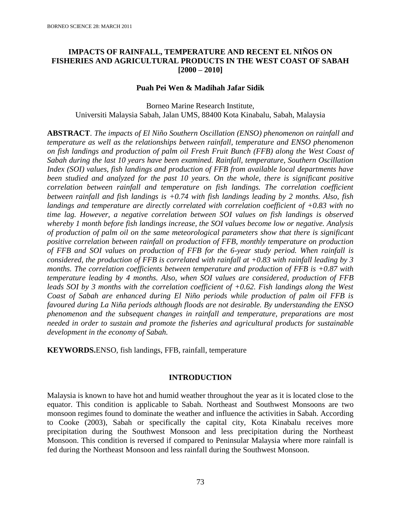# **IMPACTS OF RAINFALL, TEMPERATURE AND RECENT EL NIÑOS ON FISHERIES AND AGRICULTURAL PRODUCTS IN THE WEST COAST OF SABAH [2000 – 2010]**

#### **Puah Pei Wen & Madihah Jafar Sidik**

Borneo Marine Research Institute, Universiti Malaysia Sabah, Jalan UMS, 88400 Kota Kinabalu, Sabah, Malaysia

**ABSTRACT**. *The impacts of El Niño Southern Oscillation (ENSO) phenomenon on rainfall and temperature as well as the relationships between rainfall, temperature and ENSO phenomenon on fish landings and production of palm oil Fresh Fruit Bunch (FFB) along the West Coast of Sabah during the last 10 years have been examined. Rainfall, temperature, Southern Oscillation Index (SOI) values, fish landings and production of FFB from available local departments have been studied and analyzed for the past 10 years. On the whole, there is significant positive correlation between rainfall and temperature on fish landings. The correlation coefficient between rainfall and fish landings is +0.74 with fish landings leading by 2 months. Also, fish landings and temperature are directly correlated with correlation coefficient of +0.83 with no time lag. However, a negative correlation between SOI values on fish landings is observed whereby 1 month before fish landings increase, the SOI values become low or negative. Analysis of production of palm oil on the same meteorological parameters show that there is significant positive correlation between rainfall on production of FFB, monthly temperature on production of FFB and SOI values on production of FFB for the 6-year study period. When rainfall is considered, the production of FFB is correlated with rainfall at +0.83 with rainfall leading by 3 months. The correlation coefficients between temperature and production of FFB is +0.87 with temperature leading by 4 months. Also, when SOI values are considered, production of FFB leads SOI by 3 months with the correlation coefficient of +0.62. Fish landings along the West Coast of Sabah are enhanced during El Niño periods while production of palm oil FFB is favoured during La Niña periods although floods are not desirable. By understanding the ENSO phenomenon and the subsequent changes in rainfall and temperature, preparations are most needed in order to sustain and promote the fisheries and agricultural products for sustainable development in the economy of Sabah.*

**KEYWORDS.**ENSO, fish landings, FFB, rainfall, temperature

# **INTRODUCTION**

Malaysia is known to have hot and humid weather throughout the year as it is located close to the equator. This condition is applicable to Sabah. Northeast and Southwest Monsoons are two monsoon regimes found to dominate the weather and influence the activities in Sabah. According to Cooke (2003), Sabah or specifically the capital city, Kota Kinabalu receives more precipitation during the Southwest Monsoon and less precipitation during the Northeast Monsoon. This condition is reversed if compared to Peninsular Malaysia where more rainfall is fed during the Northeast Monsoon and less rainfall during the Southwest Monsoon.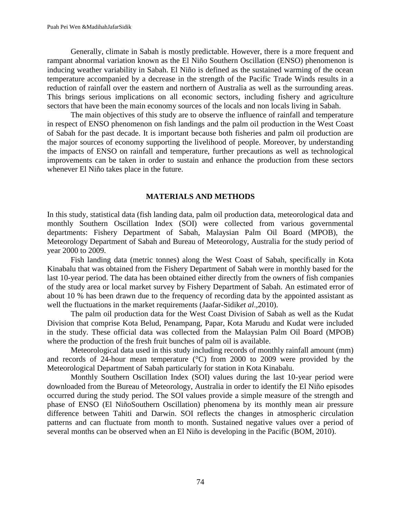Generally, climate in Sabah is mostly predictable. However, there is a more frequent and rampant abnormal variation known as the El Niño Southern Oscillation (ENSO) phenomenon is inducing weather variability in Sabah. El Niño is defined as the sustained warming of the ocean temperature accompanied by a decrease in the strength of the Pacific Trade Winds results in a reduction of rainfall over the eastern and northern of Australia as well as the surrounding areas. This brings serious implications on all economic sectors, including fishery and agriculture sectors that have been the main economy sources of the locals and non locals living in Sabah.

The main objectives of this study are to observe the influence of rainfall and temperature in respect of ENSO phenomenon on fish landings and the palm oil production in the West Coast of Sabah for the past decade. It is important because both fisheries and palm oil production are the major sources of economy supporting the livelihood of people. Moreover, by understanding the impacts of ENSO on rainfall and temperature, further precautions as well as technological improvements can be taken in order to sustain and enhance the production from these sectors whenever El Niño takes place in the future.

### **MATERIALS AND METHODS**

In this study, statistical data (fish landing data, palm oil production data, meteorological data and monthly Southern Oscillation Index (SOI) were collected from various governmental departments: Fishery Department of Sabah, Malaysian Palm Oil Board (MPOB), the Meteorology Department of Sabah and Bureau of Meteorology, Australia for the study period of year 2000 to 2009.

Fish landing data (metric tonnes) along the West Coast of Sabah, specifically in Kota Kinabalu that was obtained from the Fishery Department of Sabah were in monthly based for the last 10-year period. The data has been obtained either directly from the owners of fish companies of the study area or local market survey by Fishery Department of Sabah. An estimated error of about 10 % has been drawn due to the frequency of recording data by the appointed assistant as well the fluctuations in the market requirements (Jaafar-Sidik*et al*.,2010).

The palm oil production data for the West Coast Division of Sabah as well as the Kudat Division that comprise Kota Belud, Penampang, Papar, Kota Marudu and Kudat were included in the study. These official data was collected from the Malaysian Palm Oil Board (MPOB) where the production of the fresh fruit bunches of palm oil is available.

Meteorological data used in this study including records of monthly rainfall amount (mm) and records of 24-hour mean temperature (°C) from 2000 to 2009 were provided by the Meteorological Department of Sabah particularly for station in Kota Kinabalu.

Monthly Southern Oscillation Index (SOI) values during the last 10-year period were downloaded from the Bureau of Meteorology, Australia in order to identify the El Niño episodes occurred during the study period. The SOI values provide a simple measure of the strength and phase of ENSO (El NiñoSouthern Oscillation) phenomena by its monthly mean air pressure difference between Tahiti and Darwin. SOI reflects the changes in atmospheric circulation patterns and can fluctuate from month to month. Sustained negative values over a period of several months can be observed when an El Niño is developing in the Pacific (BOM, 2010).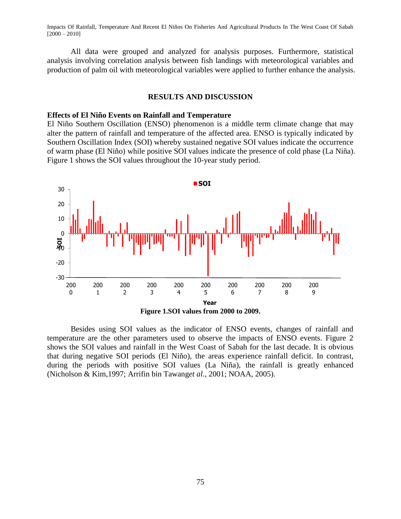All data were grouped and analyzed for analysis purposes. Furthermore, statistical analysis involving correlation analysis between fish landings with meteorological variables and production of palm oil with meteorological variables were applied to further enhance the analysis.

## **RESULTS AND DISCUSSION**

#### **Effects of El Niño Events on Rainfall and Temperature**

El Niño Southern Oscillation (ENSO) phenomenon is a middle term climate change that may alter the pattern of rainfall and temperature of the affected area. ENSO is typically indicated by Southern Oscillation Index (SOI) whereby sustained negative SOI values indicate the occurrence of warm phase (El Niño) while positive SOI values indicate the presence of cold phase (La Niña). Figure 1 shows the SOI values throughout the 10-year study period.



Besides using SOI values as the indicator of ENSO events, changes of rainfall and temperature are the other parameters used to observe the impacts of ENSO events. Figure 2 shows the SOI values and rainfall in the West Coast of Sabah for the last decade. It is obvious that during negative SOI periods (El Niño), the areas experience rainfall deficit. In contrast, during the periods with positive SOI values (La Niña), the rainfall is greatly enhanced (Nicholson & Kim,1997; Arrifin bin Tawang*et al*., 2001; NOAA, 2005).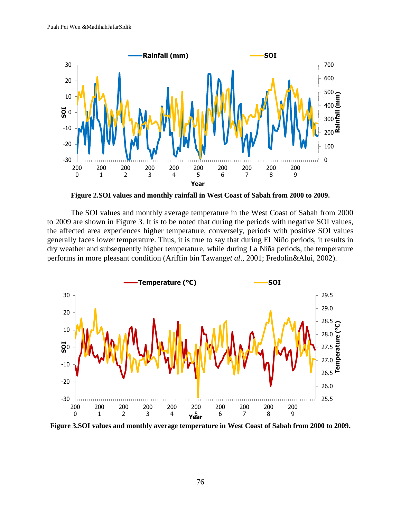

**Figure 2.SOI values and monthly rainfall in West Coast of Sabah from 2000 to 2009.**

The SOI values and monthly average temperature in the West Coast of Sabah from 2000 to 2009 are shown in Figure 3. It is to be noted that during the periods with negative SOI values, the affected area experiences higher temperature, conversely, periods with positive SOI values generally faces lower temperature. Thus, it is true to say that during El Niño periods, it results in dry weather and subsequently higher temperature, while during La Niña periods, the temperature performs in more pleasant condition (Ariffin bin Tawang*et al*., 2001; Fredolin&Alui, 2002).



**Figure 3.SOI values and monthly average temperature in West Coast of Sabah from 2000 to 2009.**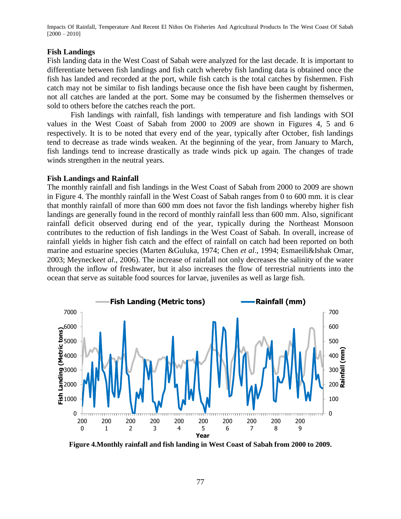#### **Fish Landings**

Fish landing data in the West Coast of Sabah were analyzed for the last decade. It is important to differentiate between fish landings and fish catch whereby fish landing data is obtained once the fish has landed and recorded at the port, while fish catch is the total catches by fishermen. Fish catch may not be similar to fish landings because once the fish have been caught by fishermen, not all catches are landed at the port. Some may be consumed by the fishermen themselves or sold to others before the catches reach the port.

Fish landings with rainfall, fish landings with temperature and fish landings with SOI values in the West Coast of Sabah from 2000 to 2009 are shown in Figures 4, 5 and 6 respectively. It is to be noted that every end of the year, typically after October, fish landings tend to decrease as trade winds weaken. At the beginning of the year, from January to March, fish landings tend to increase drastically as trade winds pick up again. The changes of trade winds strengthen in the neutral years.

#### **Fish Landings and Rainfall**

The monthly rainfall and fish landings in the West Coast of Sabah from 2000 to 2009 are shown in Figure 4. The monthly rainfall in the West Coast of Sabah ranges from 0 to 600 mm. it is clear that monthly rainfall of more than 600 mm does not favor the fish landings whereby higher fish landings are generally found in the record of monthly rainfall less than 600 mm. Also, significant rainfall deficit observed during end of the year, typically during the Northeast Monsoon contributes to the reduction of fish landings in the West Coast of Sabah. In overall, increase of rainfall yields in higher fish catch and the effect of rainfall on catch had been reported on both marine and estuarine species (Marten &Guluka, 1974; Chen *et al*., 1994; Esmaeili&Ishak Omar, 2003; Meynecke*et al*., 2006). The increase of rainfall not only decreases the salinity of the water through the inflow of freshwater, but it also increases the flow of terrestrial nutrients into the ocean that serve as suitable food sources for larvae, juveniles as well as large fish.



**Figure 4.Monthly rainfall and fish landing in West Coast of Sabah from 2000 to 2009.**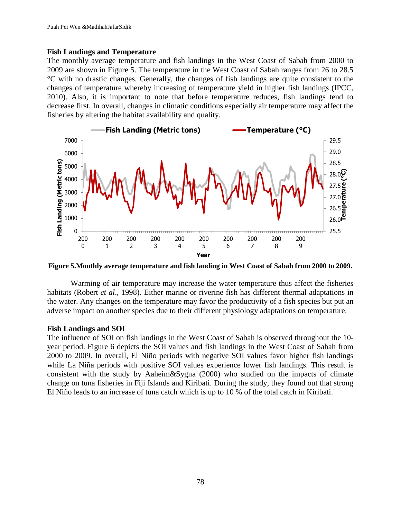### **Fish Landings and Temperature**

The monthly average temperature and fish landings in the West Coast of Sabah from 2000 to 2009 are shown in Figure 5. The temperature in the West Coast of Sabah ranges from 26 to 28.5 °C with no drastic changes. Generally, the changes of fish landings are quite consistent to the changes of temperature whereby increasing of temperature yield in higher fish landings (IPCC, 2010). Also, it is important to note that before temperature reduces, fish landings tend to decrease first. In overall, changes in climatic conditions especially air temperature may affect the fisheries by altering the habitat availability and quality.



**Figure 5.Monthly average temperature and fish landing in West Coast of Sabah from 2000 to 2009.**

Warming of air temperature may increase the water temperature thus affect the fisheries habitats (Robert *et al*., 1998). Either marine or riverine fish has different thermal adaptations in the water. Any changes on the temperature may favor the productivity of a fish species but put an adverse impact on another species due to their different physiology adaptations on temperature.

# **Fish Landings and SOI**

The influence of SOI on fish landings in the West Coast of Sabah is observed throughout the 10 year period. Figure 6 depicts the SOI values and fish landings in the West Coast of Sabah from 2000 to 2009. In overall, El Niño periods with negative SOI values favor higher fish landings while La Niña periods with positive SOI values experience lower fish landings. This result is consistent with the study by Aaheim&Sygna (2000) who studied on the impacts of climate change on tuna fisheries in Fiji Islands and Kiribati. During the study, they found out that strong El Niño leads to an increase of tuna catch which is up to 10 % of the total catch in Kiribati.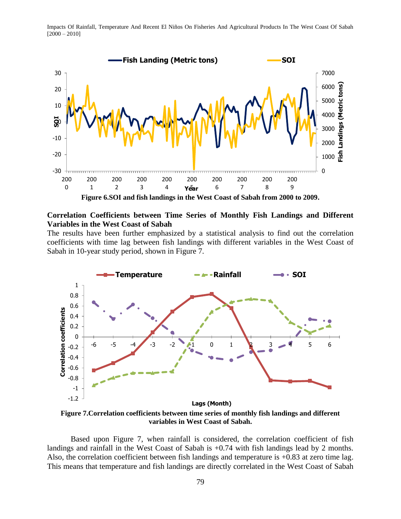

**Correlation Coefficients between Time Series of Monthly Fish Landings and Different Variables in the West Coast of Sabah**

The results have been further emphasized by a statistical analysis to find out the correlation coefficients with time lag between fish landings with different variables in the West Coast of Sabah in 10-year study period, shown in Figure 7.



**Figure 7.Correlation coefficients between time series of monthly fish landings and different variables in West Coast of Sabah.**

Based upon Figure 7, when rainfall is considered, the correlation coefficient of fish landings and rainfall in the West Coast of Sabah is +0.74 with fish landings lead by 2 months. Also, the correlation coefficient between fish landings and temperature is +0.83 at zero time lag. This means that temperature and fish landings are directly correlated in the West Coast of Sabah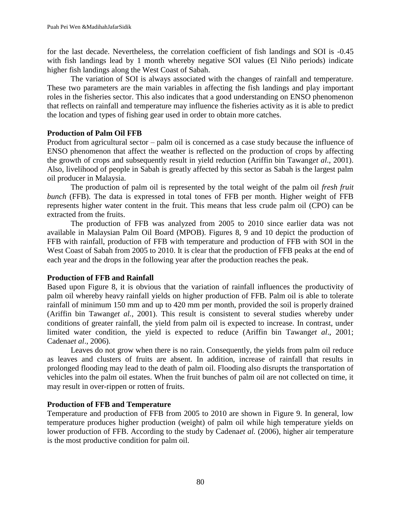for the last decade. Nevertheless, the correlation coefficient of fish landings and SOI is -0.45 with fish landings lead by 1 month whereby negative SOI values (El Niño periods) indicate higher fish landings along the West Coast of Sabah.

The variation of SOI is always associated with the changes of rainfall and temperature. These two parameters are the main variables in affecting the fish landings and play important roles in the fisheries sector. This also indicates that a good understanding on ENSO phenomenon that reflects on rainfall and temperature may influence the fisheries activity as it is able to predict the location and types of fishing gear used in order to obtain more catches.

# **Production of Palm Oil FFB**

Product from agricultural sector – palm oil is concerned as a case study because the influence of ENSO phenomenon that affect the weather is reflected on the production of crops by affecting the growth of crops and subsequently result in yield reduction (Ariffin bin Tawang*et al*., 2001). Also, livelihood of people in Sabah is greatly affected by this sector as Sabah is the largest palm oil producer in Malaysia.

The production of palm oil is represented by the total weight of the palm oil *fresh fruit bunch* (FFB). The data is expressed in total tones of FFB per month. Higher weight of FFB represents higher water content in the fruit. This means that less crude palm oil (CPO) can be extracted from the fruits.

The production of FFB was analyzed from 2005 to 2010 since earlier data was not available in Malaysian Palm Oil Board (MPOB). Figures 8, 9 and 10 depict the production of FFB with rainfall, production of FFB with temperature and production of FFB with SOI in the West Coast of Sabah from 2005 to 2010. It is clear that the production of FFB peaks at the end of each year and the drops in the following year after the production reaches the peak.

# **Production of FFB and Rainfall**

Based upon Figure 8, it is obvious that the variation of rainfall influences the productivity of palm oil whereby heavy rainfall yields on higher production of FFB. Palm oil is able to tolerate rainfall of minimum 150 mm and up to 420 mm per month, provided the soil is properly drained (Ariffin bin Tawang*et al.*, 2001). This result is consistent to several studies whereby under conditions of greater rainfall, the yield from palm oil is expected to increase. In contrast, under limited water condition, the yield is expected to reduce (Ariffin bin Tawang*et al*., 2001; Cadena*et al*., 2006).

Leaves do not grow when there is no rain. Consequently, the yields from palm oil reduce as leaves and clusters of fruits are absent. In addition, increase of rainfall that results in prolonged flooding may lead to the death of palm oil. Flooding also disrupts the transportation of vehicles into the palm oil estates. When the fruit bunches of palm oil are not collected on time, it may result in over-rippen or rotten of fruits.

# **Production of FFB and Temperature**

Temperature and production of FFB from 2005 to 2010 are shown in Figure 9. In general, low temperature produces higher production (weight) of palm oil while high temperature yields on lower production of FFB. According to the study by Cadena*et al.* (2006), higher air temperature is the most productive condition for palm oil.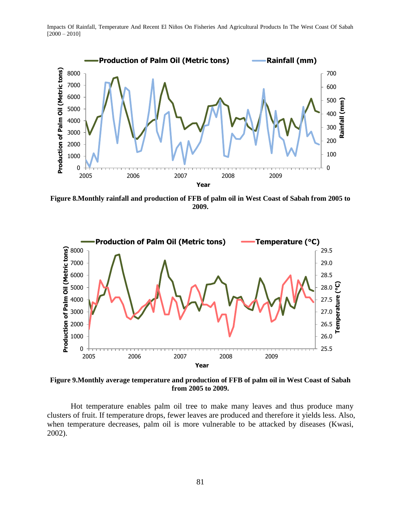

**Figure 8.Monthly rainfall and production of FFB of palm oil in West Coast of Sabah from 2005 to 2009.**



**Figure 9.Monthly average temperature and production of FFB of palm oil in West Coast of Sabah from 2005 to 2009.**

Hot temperature enables palm oil tree to make many leaves and thus produce many clusters of fruit. If temperature drops, fewer leaves are produced and therefore it yields less. Also, when temperature decreases, palm oil is more vulnerable to be attacked by diseases (Kwasi, 2002).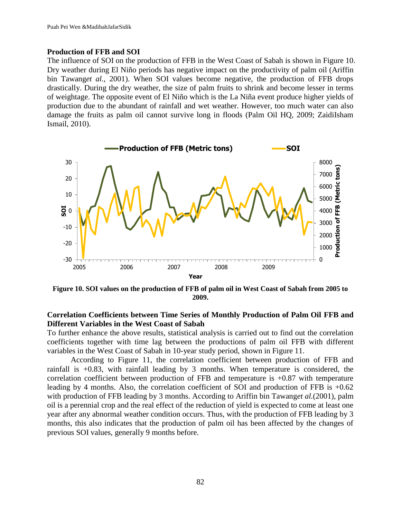#### **Production of FFB and SOI**

The influence of SOI on the production of FFB in the West Coast of Sabah is shown in Figure 10. Dry weather during El Niño periods has negative impact on the productivity of palm oil (Ariffin bin Tawang*et al.,* 2001). When SOI values become negative, the production of FFB drops drastically. During the dry weather, the size of palm fruits to shrink and become lesser in terms of weightage. The opposite event of El Niño which is the La Niña event produce higher yields of production due to the abundant of rainfall and wet weather. However, too much water can also damage the fruits as palm oil cannot survive long in floods (Palm Oil HQ, 2009; ZaidiIsham Ismail, 2010).



**Figure 10. SOI values on the production of FFB of palm oil in West Coast of Sabah from 2005 to 2009.**

# **Correlation Coefficients between Time Series of Monthly Production of Palm Oil FFB and Different Variables in the West Coast of Sabah**

To further enhance the above results, statistical analysis is carried out to find out the correlation coefficients together with time lag between the productions of palm oil FFB with different variables in the West Coast of Sabah in 10-year study period, shown in Figure 11.

According to Figure 11, the correlation coefficient between production of FFB and rainfall is +0.83, with rainfall leading by 3 months. When temperature is considered, the correlation coefficient between production of FFB and temperature is +0.87 with temperature leading by 4 months. Also, the correlation coefficient of SOI and production of FFB is  $+0.62$ with production of FFB leading by 3 months. According to Ariffin bin Tawang*et al.*(2001), palm oil is a perennial crop and the real effect of the reduction of yield is expected to come at least one year after any abnormal weather condition occurs. Thus, with the production of FFB leading by 3 months, this also indicates that the production of palm oil has been affected by the changes of previous SOI values, generally 9 months before.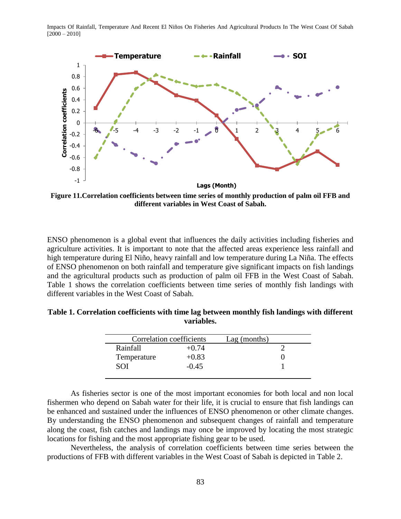

**Figure 11.Correlation coefficients between time series of monthly production of palm oil FFB and different variables in West Coast of Sabah.**

ENSO phenomenon is a global event that influences the daily activities including fisheries and agriculture activities. It is important to note that the affected areas experience less rainfall and high temperature during El Niño, heavy rainfall and low temperature during La Niña. The effects of ENSO phenomenon on both rainfall and temperature give significant impacts on fish landings and the agricultural products such as production of palm oil FFB in the West Coast of Sabah. Table 1 shows the correlation coefficients between time series of monthly fish landings with different variables in the West Coast of Sabah.

| Table 1. Correlation coefficients with time lag between monthly fish landings with different |  |
|----------------------------------------------------------------------------------------------|--|
| variables.                                                                                   |  |

| Correlation coefficients |         | $Lag$ (months) |  |
|--------------------------|---------|----------------|--|
| Rainfall                 | $+0.74$ |                |  |
| Temperature              | $+0.83$ |                |  |
| <b>SOI</b>               | $-0.45$ |                |  |
|                          |         |                |  |

As fisheries sector is one of the most important economies for both local and non local fishermen who depend on Sabah water for their life, it is crucial to ensure that fish landings can be enhanced and sustained under the influences of ENSO phenomenon or other climate changes. By understanding the ENSO phenomenon and subsequent changes of rainfall and temperature along the coast, fish catches and landings may once be improved by locating the most strategic locations for fishing and the most appropriate fishing gear to be used.

Nevertheless, the analysis of correlation coefficients between time series between the productions of FFB with different variables in the West Coast of Sabah is depicted in Table 2.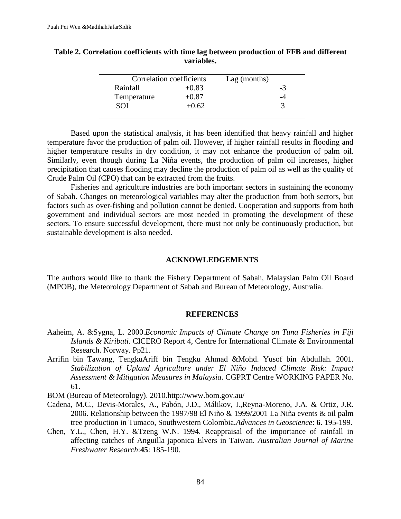|             | Correlation coefficients | Lag (months) |    |
|-------------|--------------------------|--------------|----|
| Rainfall    | $+0.83$                  |              | -3 |
| Temperature | $+0.87$                  |              |    |
| SOI         | $+0.62$                  |              |    |
|             |                          |              |    |

| Table 2. Correlation coefficients with time lag between production of FFB and different |  |
|-----------------------------------------------------------------------------------------|--|
| variables.                                                                              |  |

Based upon the statistical analysis, it has been identified that heavy rainfall and higher temperature favor the production of palm oil. However, if higher rainfall results in flooding and higher temperature results in dry condition, it may not enhance the production of palm oil. Similarly, even though during La Niña events, the production of palm oil increases, higher precipitation that causes flooding may decline the production of palm oil as well as the quality of Crude Palm Oil (CPO) that can be extracted from the fruits.

Fisheries and agriculture industries are both important sectors in sustaining the economy of Sabah. Changes on meteorological variables may alter the production from both sectors, but factors such as over-fishing and pollution cannot be denied. Cooperation and supports from both government and individual sectors are most needed in promoting the development of these sectors. To ensure successful development, there must not only be continuously production, but sustainable development is also needed.

#### **ACKNOWLEDGEMENTS**

The authors would like to thank the Fishery Department of Sabah, Malaysian Palm Oil Board (MPOB), the Meteorology Department of Sabah and Bureau of Meteorology, Australia.

#### **REFERENCES**

- Aaheim, A. &Sygna, L. 2000.*Economic Impacts of Climate Change on Tuna Fisheries in Fiji Islands & Kiribati*. CICERO Report 4, Centre for International Climate & Environmental Research. Norway. Pp21.
- Arrifin bin Tawang, TengkuAriff bin Tengku Ahmad &Mohd. Yusof bin Abdullah. 2001. *Stabilization of Upland Agriculture under El Niño Induced Climate Risk: Impact Assessment & Mitigation Measures in Malaysia*. CGPRT Centre WORKING PAPER No. 61.

BOM (Bureau of Meteorology). 2010[.http://www.bom.gov.au/](http://www.bom.gov.au/)

- Cadena, M.C., Devis-Morales, A., Pabón, J.D., Málikov, I.,Reyna-Moreno, J.A. & Ortiz, J.R. 2006. Relationship between the 1997/98 El Niño & 1999/2001 La Niña events & oil palm tree production in Tumaco, Southwestern Colombia.*Advances in Geoscience*: **6**. 195-199.
- Chen, Y.L., Chen, H.Y. &Tzeng W.N. 1994. Reappraisal of the importance of rainfall in affecting catches of Anguilla japonica Elvers in Taiwan. *Australian Journal of Marine Freshwater Research*:**45**: 185-190.